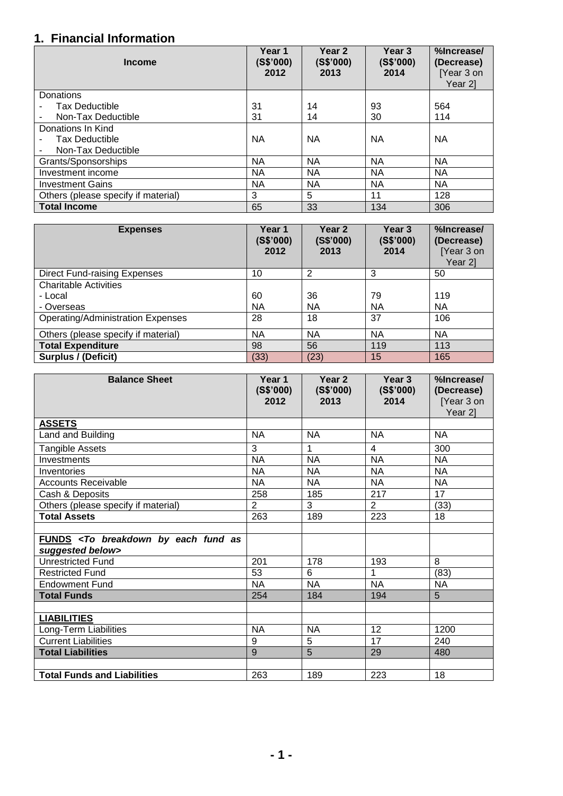## **1. Financial Information**

| <b>Income</b>                       | Year 1<br>(S\$'000)<br>2012 | Year <sub>2</sub><br>(S\$'000)<br>2013 | Year 3<br>(S\$'000)<br>2014 | %Increase/<br>(Decrease)<br>[Year 3 on<br>Year 21 |
|-------------------------------------|-----------------------------|----------------------------------------|-----------------------------|---------------------------------------------------|
| Donations                           |                             |                                        |                             |                                                   |
| <b>Tax Deductible</b>               | 31                          | 14                                     | 93                          | 564                                               |
| Non-Tax Deductible                  | 31                          | 14                                     | 30                          | 114                                               |
| Donations In Kind                   |                             |                                        |                             |                                                   |
| <b>Tax Deductible</b>               | <b>NA</b>                   | NА                                     | <b>NA</b>                   | <b>NA</b>                                         |
| Non-Tax Deductible                  |                             |                                        |                             |                                                   |
| Grants/Sponsorships                 | NA                          | <b>NA</b>                              | <b>NA</b>                   | <b>NA</b>                                         |
| Investment income                   | NA                          | <b>NA</b>                              | <b>NA</b>                   | <b>NA</b>                                         |
| <b>Investment Gains</b>             | <b>NA</b>                   | <b>NA</b>                              | <b>NA</b>                   | <b>NA</b>                                         |
| Others (please specify if material) | 3                           | 5                                      | 11                          | 128                                               |
| <b>Total Income</b>                 | 65                          | 33                                     | 134                         | 306                                               |

| <b>Expenses</b>                          | Year 1<br>(S\$'000)<br>2012 | Year 2<br>(S\$'000)<br>2013 | Year 3<br>(S\$'000)<br>2014 | %Increase/<br>(Decrease)<br>[Year 3 on<br>Year 21 |
|------------------------------------------|-----------------------------|-----------------------------|-----------------------------|---------------------------------------------------|
| <b>Direct Fund-raising Expenses</b>      | 10                          | 2                           | 3                           | 50                                                |
| <b>Charitable Activities</b>             |                             |                             |                             |                                                   |
| - Local                                  | 60                          | 36                          | 79                          | 119                                               |
| - Overseas                               | <b>NA</b>                   | <b>NA</b>                   | <b>NA</b>                   | <b>NA</b>                                         |
| <b>Operating/Administration Expenses</b> | 28                          | 18                          | 37                          | 106                                               |
| Others (please specify if material)      | <b>NA</b>                   | <b>NA</b>                   | NA.                         | NA                                                |
| <b>Total Expenditure</b>                 | 98                          | 56                          | 119                         | 113                                               |
| <b>Surplus / (Deficit)</b>               | (33)                        | (23)                        | 15                          | 165                                               |

| <b>Balance Sheet</b>                                                           | Year 1<br>(S\$'000)<br>2012 | Year 2<br>(S\$'000)<br>2013 | Year 3<br>(S\$'000)<br>2014 | %Increase/<br>(Decrease)<br>[Year 3 on<br>Year 2] |
|--------------------------------------------------------------------------------|-----------------------------|-----------------------------|-----------------------------|---------------------------------------------------|
| <b>ASSETS</b>                                                                  |                             |                             |                             |                                                   |
| Land and Building                                                              | <b>NA</b>                   | <b>NA</b>                   | <b>NA</b>                   | <b>NA</b>                                         |
| <b>Tangible Assets</b>                                                         | 3                           | 1                           | $\overline{4}$              | 300                                               |
| Investments                                                                    | <b>NA</b>                   | <b>NA</b>                   | <b>NA</b>                   | <b>NA</b>                                         |
| Inventories                                                                    | <b>NA</b>                   | <b>NA</b>                   | <b>NA</b>                   | <b>NA</b>                                         |
| <b>Accounts Receivable</b>                                                     | <b>NA</b>                   | <b>NA</b>                   | <b>NA</b>                   | <b>NA</b>                                         |
| Cash & Deposits                                                                | 258                         | 185                         | 217                         | 17                                                |
| Others (please specify if material)                                            | 2                           | 3                           | $\overline{2}$              | (33)                                              |
| <b>Total Assets</b>                                                            | 263                         | 189                         | 223                         | 18                                                |
|                                                                                |                             |                             |                             |                                                   |
| FUNDS <to as<br="" breakdown="" by="" each="" fund="">suggested below&gt;</to> |                             |                             |                             |                                                   |
| <b>Unrestricted Fund</b>                                                       | 201                         | 178                         | 193                         | 8                                                 |
| <b>Restricted Fund</b>                                                         | 53                          | 6                           | 1                           | (83)                                              |
| <b>Endowment Fund</b>                                                          | <b>NA</b>                   | <b>NA</b>                   | <b>NA</b>                   | <b>NA</b>                                         |
| <b>Total Funds</b>                                                             | 254                         | 184                         | 194                         | 5                                                 |
|                                                                                |                             |                             |                             |                                                   |
| <b>LIABILITIES</b>                                                             |                             |                             |                             |                                                   |
| Long-Term Liabilities                                                          | <b>NA</b>                   | <b>NA</b>                   | 12                          | 1200                                              |
| <b>Current Liabilities</b>                                                     | 9                           | 5                           | 17                          | 240                                               |
| <b>Total Liabilities</b>                                                       | 9                           | 5                           | 29                          | 480                                               |
|                                                                                |                             |                             |                             |                                                   |
| <b>Total Funds and Liabilities</b>                                             | 263                         | 189                         | 223                         | 18                                                |